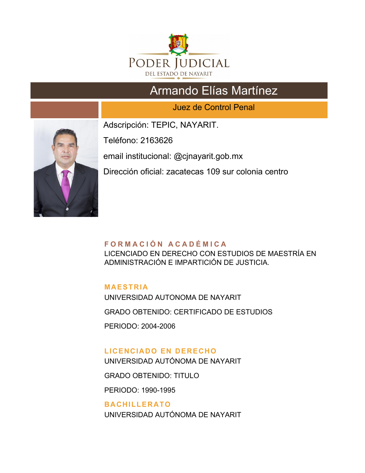

# Armando Elías Martínez

Juez de Control Penal



Adscripción: TEPIC, NAYARIT.

Teléfono: 2163626

email institucional: @cjnayarit.gob.mx

Dirección oficial: zacatecas 109 sur colonia centro

## **F O R M A C I Ó N A C A D É M I C A**

LICENCIADO EN DERECHO CON ESTUDIOS DE MAESTRÍA EN ADMINISTRACIÓN E IMPARTICIÓN DE JUSTICIA.

## **MAESTRIA**

UNIVERSIDAD AUTONOMA DE NAYARIT GRADO OBTENIDO: CERTIFICADO DE ESTUDIOS PERIODO: 2004-2006

# **LICENCIADO EN DERECHO**

UNIVERSIDAD AUTÓNOMA DE NAYARIT

GRADO OBTENIDO: TITULO

PERIODO: 1990-1995

### **BACHILLERATO**

UNIVERSIDAD AUTÓNOMA DE NAYARIT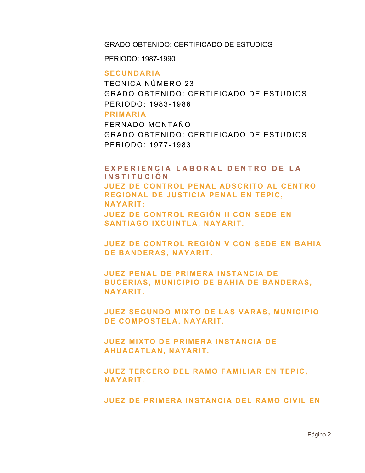#### GRADO OBTENIDO: CERTIFICADO DE ESTUDIOS

PERIODO: 1987-1990

#### **SECUNDARIA**

TECNICA NÚMERO 23 GRADO OBTENIDO: CERTIFICADO DE ESTUDIOS PERIODO: 1983-1986

#### **PRIMARIA**

FERNADO MONTAÑO GRADO OBTENIDO: CERTIFICADO DE ESTUDIOS PERIODO: 1977-1983

## EXPERIENCIA LABORAL DENTRO DE LA **I N S T I T U C I Ó N JUEZ DE CONTROL PENAL ADSCRITO AL CENTRO REGIONAL DE JUSTICIA PENAL EN TEPIC, NAYARIT: JUEZ DE CONTROL REGIÓN II CON SEDE EN SANTIAGO IXCUINTLA, NAYARIT.**

**JUEZ DE CONTROL REGIÓN V CON SEDE EN BAHIA DE BANDERAS, NAYARIT.**

**JUEZ PENAL DE PRIMERA INSTANCIA DE BUCERIAS, MUNICIPIO DE BAHIA DE BANDERAS, NAYARIT.**

**JUEZ SEGUNDO MIXTO DE LAS VARAS, MUNICIPIO DE COMPOSTELA, NAYARIT.**

**JUEZ MIXTO DE PRIMERA INSTANCIA DE AHUACATLAN, NAYARIT.**

**JUEZ TERCERO DEL RAMO FAMILIAR EN TEPIC, NAYARIT.**

**JUEZ DE PRIMERA INSTANCIA DEL RAMO CIVIL EN**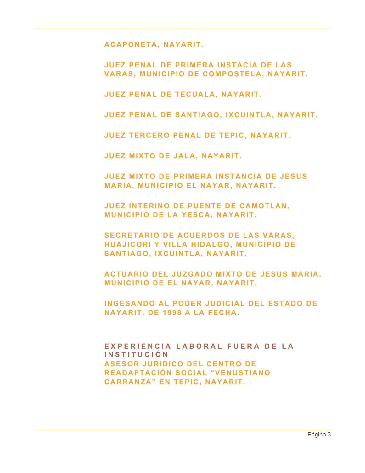**ACAPONETA, NAYARIT.**

**JUEZ PENAL DE PRIMERA INSTACIA DE LAS VARAS, MUNICIPIO DE COMPOSTELA, NAYARIT.**

**JUEZ PENAL DE TECUALA, NAYARIT.**

**JUEZ PENAL DE SANTIAGO, IXCUINTLA, NAYARIT.**

**JUEZ TERCERO PENAL DE TEPIC, NAYARIT.**

**JUEZ MIXTO DE JALA, NAYARIT.**

**JUEZ MIXTO DE PRIMERA INSTANCIA DE JESUS MARIA, MUNICIPIO EL NAYAR, NAYARIT.**

**JUEZ INTERINO DE PUENTE DE CAMOTLÁN, MUNICIPIO DE LA YESCA, NAYARIT.**

**SECRETARIO DE ACUERDOS DE LAS VARAS, HUAJICORI Y VILLA HIDALGO, MUNICIPIO DE SANTIAGO, IXCUINTLA, NAYARIT.**

**ACTUARIO DEL JUZGADO MIXTO DE JESUS MARIA, MUNICIPIO DE EL NAYAR, NAYARIT.**

**INGESANDO AL PODER JUDICIAL DEL ESTADO DE NAYARIT, DE 1998 A LA FECHA.**

**EXPERIENCIA LABORAL FUERA DE LA I N S T I T U C I Ó N ASESOR JURIDICO DEL CENTRO DE READAPTACIÓN SOCIAL "VENUSTIANO CARRANZA" EN TEPIC, NAYARIT.**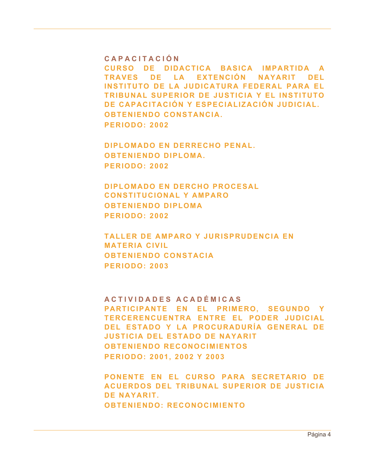#### **C A P A C I T A C I Ó N**

**CURSO DE DIDACTICA BASICA IMPARTIDA A TRAVES DE LA EXTENCIÓN NAYARIT DEL INSTITUTO DE LA JUDICATURA FEDERAL PARA EL TRIBUNAL SUPERIOR DE JUSTICIA Y EL INSTITUTO DE CAPACITACIÓN Y ESPECIALIZACIÓN JUDICIAL. OBTENIENDO CONSTANCIA. PERIODO: 2002**

**DIPLOMADO EN DERRECHO PENAL. OBTENIENDO DIPLOMA. PERIODO: 2002**

**DIPLOMADO EN DERCHO PROCESAL CONSTITUCIONAL Y AMPARO OBTENIENDO DIPLOMA PERIODO: 2002**

**TALLER DE AMPARO Y JURISPRUDENCIA EN MATERIA CIVIL OBTENIENDO CONSTACIA PERIODO: 2003**

**A C T I V I D A D E S A C A D É M I C A S PARTICIPANTE EN EL PRIMERO, SEGUNDO Y TERCERENCUENTRA ENTRE EL PODER JUDICIAL DEL ESTADO Y LA PROCURADURÍA GENERAL DE JUSTICIA DEL ESTADO DE NAYARIT OBTENIENDO RECONOCIMIENTOS PERIODO: 2001, 2002 Y 2003**

**PONENTE EN EL CURSO PARA SECRETARIO DE ACUERDOS DEL TRIBUNAL SUPERIOR DE JUSTICIA DE NAYARIT. OBTENIENDO: RECONOCIMIENTO**